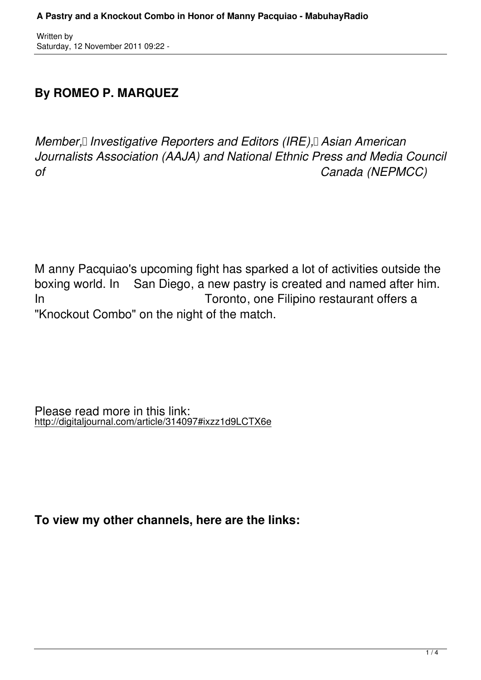Written by Saturday, 12 November 2011 09:22 -

## **By ROMEO P. MARQUEZ**

*Member, II Investigative Reporters and Editors (IRE), Asian American Journalists Association (AAJA) and National Ethnic Press and Media Council of Canada (NEPMCC)*

M anny Pacquiao's upcoming fight has sparked a lot of activities outside the boxing world. In San Diego, a new pastry is created and named after him. In **In Toronto**, one Filipino restaurant offers a "Knockout Combo" on the night of the match.

Please read more in this link: http://digitaljournal.com/article/314097#ixzz1d9LCTX6e

**To view my other channels, here are the links:**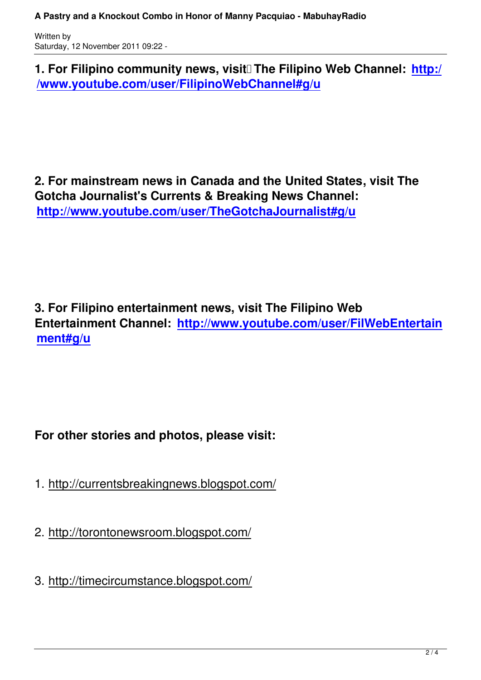**1. For Filipino community news, visit** The Filipino Web Channel: http:/ **/www.youtube.com/user/FilipinoWebChannel#g/u**

**2. For mainstream news in Canada and the United States, visit The Gotcha Journalist's Currents & Breaking News Channel: http://www.youtube.com/user/TheGotchaJournalist#g/u**

**3. For Filipino entertainment news, visit The Filipino Web Entertainment Channel: http://www.youtube.com/user/FilWebEntertain ment#g/u**

## **For other stories and photos, please visit:**

- 1. http://currentsbreakingnews.blogspot.com/
- 2. http://torontonewsroom.blogspot.com/
- 3. http://timecircumstance.blogspot.com/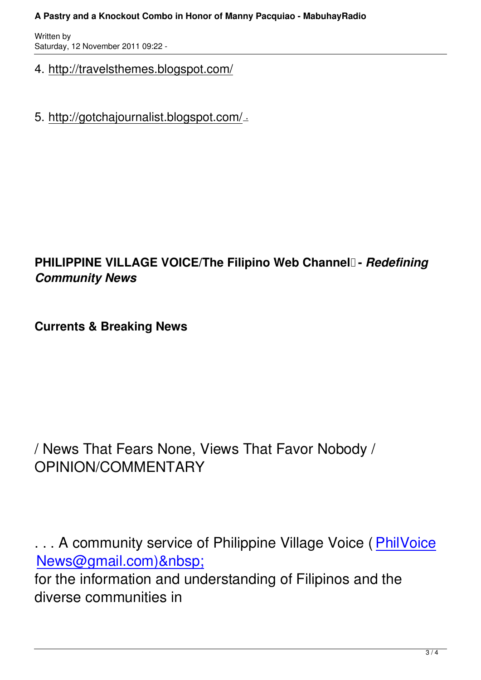Written by Saturday, 12 November 2011 09:22 -

- 4. http://travelsthemes.blogspot.com/
- 5. http://gotchajournalist.blogspot.com/ .

## **PHILIPPINE VILLAGE VOICE/The Filipino Web Channel - Redefining** *Community News*

**Currents & Breaking News** 

/ News That Fears None, Views That Favor Nobody / OPINION/COMMENTARY

... A community service of Philippine Village Voice (PhilVoice News@gmail.com) for the information and understanding of Filipinos an[d the](mailto:PhilVoiceNews@gmail.com)%20m) [diverse communities in](mailto:PhilVoiceNews@gmail.com)%20m)